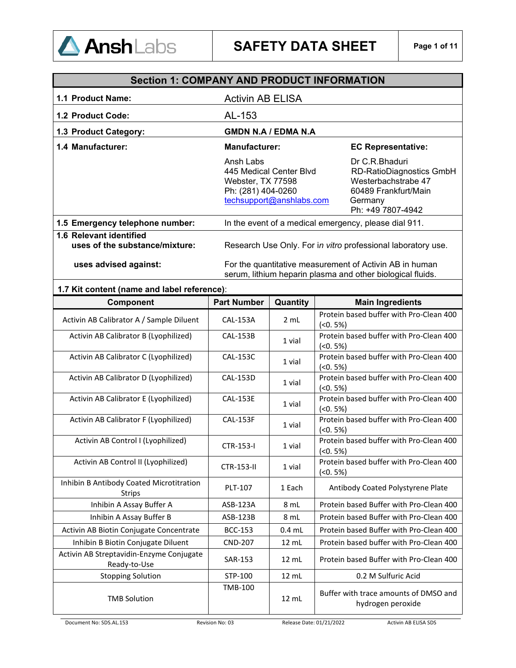

| <b>Section 1: COMPANY AND PRODUCT INFORMATION</b>         |                                                                                                                       |                                                                                                                                  |  |
|-----------------------------------------------------------|-----------------------------------------------------------------------------------------------------------------------|----------------------------------------------------------------------------------------------------------------------------------|--|
| 1.1 Product Name:                                         | <b>Activin AB ELISA</b>                                                                                               |                                                                                                                                  |  |
| 1.2 Product Code:                                         | AL-153                                                                                                                |                                                                                                                                  |  |
| 1.3 Product Category:                                     | <b>GMDN N.A / EDMA N.A</b>                                                                                            |                                                                                                                                  |  |
| 1.4 Manufacturer:                                         | <b>Manufacturer:</b>                                                                                                  | <b>EC Representative:</b>                                                                                                        |  |
|                                                           | Ansh Labs<br>445 Medical Center Blvd<br>Webster, TX 77598<br>Ph: (281) 404-0260<br>techsupport@anshlabs.com           | Dr C.R.Bhaduri<br><b>RD-RatioDiagnostics GmbH</b><br>Westerbachstrabe 47<br>60489 Frankfurt/Main<br>Germany<br>Ph: +49 7807-4942 |  |
| 1.5 Emergency telephone number:                           | In the event of a medical emergency, please dial 911.                                                                 |                                                                                                                                  |  |
| 1.6 Relevant identified<br>uses of the substance/mixture: | Research Use Only. For in vitro professional laboratory use.                                                          |                                                                                                                                  |  |
| uses advised against:                                     | For the quantitative measurement of Activin AB in human<br>serum, lithium heparin plasma and other biological fluids. |                                                                                                                                  |  |

| 1.7 Kit content (name and label reference):               |                    |          |                                                            |  |  |
|-----------------------------------------------------------|--------------------|----------|------------------------------------------------------------|--|--|
| Component                                                 | <b>Part Number</b> | Quantity | <b>Main Ingredients</b>                                    |  |  |
| Activin AB Calibrator A / Sample Diluent                  | <b>CAL-153A</b>    | 2 mL     | Protein based buffer with Pro-Clean 400<br>$(50.5\%)$      |  |  |
| Activin AB Calibrator B (Lyophilized)                     | <b>CAL-153B</b>    | 1 vial   | Protein based buffer with Pro-Clean 400<br>$(0.5\%)$       |  |  |
| Activin AB Calibrator C (Lyophilized)                     | <b>CAL-153C</b>    | 1 vial   | Protein based buffer with Pro-Clean 400<br>$(0.5\%)$       |  |  |
| Activin AB Calibrator D (Lyophilized)                     | <b>CAL-153D</b>    | 1 vial   | Protein based buffer with Pro-Clean 400<br>$(<0.5\%)$      |  |  |
| Activin AB Calibrator E (Lyophilized)                     | <b>CAL-153E</b>    | 1 vial   | Protein based buffer with Pro-Clean 400<br>$(0.5\%)$       |  |  |
| Activin AB Calibrator F (Lyophilized)                     | <b>CAL-153F</b>    | 1 vial   | Protein based buffer with Pro-Clean 400<br>$(50.5\%)$      |  |  |
| Activin AB Control I (Lyophilized)                        | CTR-153-I          | 1 vial   | Protein based buffer with Pro-Clean 400<br>$(0.5\%)$       |  |  |
| Activin AB Control II (Lyophilized)                       | CTR-153-II         | 1 vial   | Protein based buffer with Pro-Clean 400<br>$(0.5\%)$       |  |  |
| Inhibin B Antibody Coated Microtitration<br><b>Strips</b> | PLT-107            | 1 Each   | Antibody Coated Polystyrene Plate                          |  |  |
| Inhibin A Assay Buffer A                                  | ASB-123A           | 8 mL     | Protein based Buffer with Pro-Clean 400                    |  |  |
| Inhibin A Assay Buffer B                                  | ASB-123B           | 8 mL     | Protein based Buffer with Pro-Clean 400                    |  |  |
| Activin AB Biotin Conjugate Concentrate                   | <b>BCC-153</b>     | $0.4$ mL | Protein based Buffer with Pro-Clean 400                    |  |  |
| Inhibin B Biotin Conjugate Diluent                        | <b>CND-207</b>     | 12 mL    | Protein based buffer with Pro-Clean 400                    |  |  |
| Activin AB Streptavidin-Enzyme Conjugate<br>Ready-to-Use  | SAR-153            | 12 mL    | Protein based Buffer with Pro-Clean 400                    |  |  |
| <b>Stopping Solution</b>                                  | STP-100            | 12 mL    | 0.2 M Sulfuric Acid                                        |  |  |
| <b>TMB Solution</b>                                       | <b>TMB-100</b>     | 12 mL    | Buffer with trace amounts of DMSO and<br>hydrogen peroxide |  |  |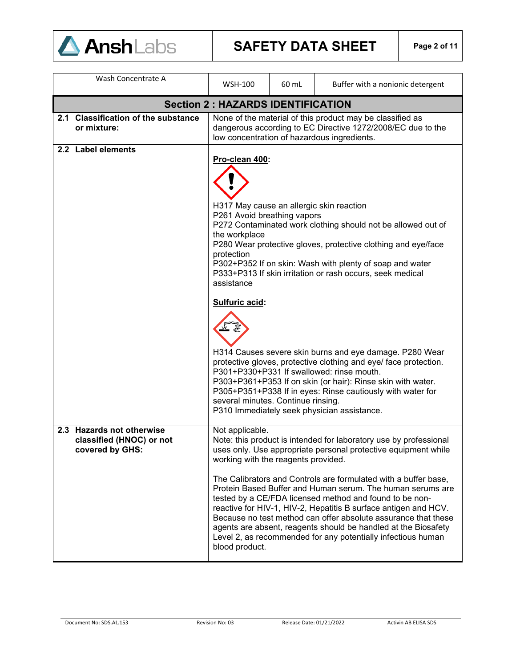

# **SAFETY DATA SHEET Page 2 of 11**

| Wash Concentrate A                                                       | <b>WSH-100</b>                                                                                                                                                                                                                                                                                                                                                                                                                                                                                                                                                                                                                                                                                                                                                    | 60 mL | Buffer with a nonionic detergent                                                                                                                                                                                                                                                                                                                                                                                                                                                                                                                                                                       |  |  |  |
|--------------------------------------------------------------------------|-------------------------------------------------------------------------------------------------------------------------------------------------------------------------------------------------------------------------------------------------------------------------------------------------------------------------------------------------------------------------------------------------------------------------------------------------------------------------------------------------------------------------------------------------------------------------------------------------------------------------------------------------------------------------------------------------------------------------------------------------------------------|-------|--------------------------------------------------------------------------------------------------------------------------------------------------------------------------------------------------------------------------------------------------------------------------------------------------------------------------------------------------------------------------------------------------------------------------------------------------------------------------------------------------------------------------------------------------------------------------------------------------------|--|--|--|
| <b>Section 2: HAZARDS IDENTIFICATION</b>                                 |                                                                                                                                                                                                                                                                                                                                                                                                                                                                                                                                                                                                                                                                                                                                                                   |       |                                                                                                                                                                                                                                                                                                                                                                                                                                                                                                                                                                                                        |  |  |  |
| 2.1 Classification of the substance<br>or mixture:                       |                                                                                                                                                                                                                                                                                                                                                                                                                                                                                                                                                                                                                                                                                                                                                                   |       | None of the material of this product may be classified as<br>dangerous according to EC Directive 1272/2008/EC due to the<br>low concentration of hazardous ingredients.                                                                                                                                                                                                                                                                                                                                                                                                                                |  |  |  |
| 2.2 Label elements                                                       | Pro-clean 400:<br>H317 May cause an allergic skin reaction<br>P261 Avoid breathing vapors<br>P272 Contaminated work clothing should not be allowed out of<br>the workplace<br>P280 Wear protective gloves, protective clothing and eye/face<br>protection<br>P302+P352 If on skin: Wash with plenty of soap and water<br>P333+P313 If skin irritation or rash occurs, seek medical<br>assistance<br>Sulfuric acid:<br>H314 Causes severe skin burns and eye damage. P280 Wear<br>protective gloves, protective clothing and eye/ face protection.<br>P301+P330+P331 If swallowed: rinse mouth.<br>P303+P361+P353 If on skin (or hair): Rinse skin with water.<br>P305+P351+P338 If in eyes: Rinse cautiously with water for<br>several minutes. Continue rinsing. |       |                                                                                                                                                                                                                                                                                                                                                                                                                                                                                                                                                                                                        |  |  |  |
| 2.3 Hazards not otherwise<br>classified (HNOC) or not<br>covered by GHS: | Not applicable.<br>working with the reagents provided.<br>blood product.                                                                                                                                                                                                                                                                                                                                                                                                                                                                                                                                                                                                                                                                                          |       | Note: this product is intended for laboratory use by professional<br>uses only. Use appropriate personal protective equipment while<br>The Calibrators and Controls are formulated with a buffer base,<br>Protein Based Buffer and Human serum. The human serums are<br>tested by a CE/FDA licensed method and found to be non-<br>reactive for HIV-1, HIV-2, Hepatitis B surface antigen and HCV.<br>Because no test method can offer absolute assurance that these<br>agents are absent, reagents should be handled at the Biosafety<br>Level 2, as recommended for any potentially infectious human |  |  |  |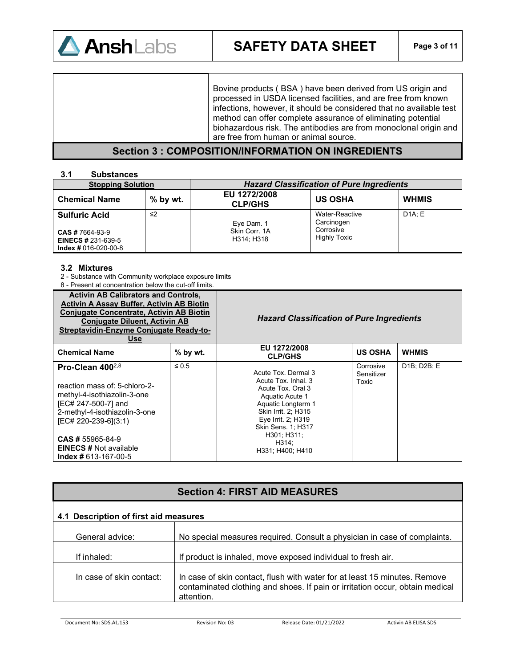

Bovine products ( BSA ) have been derived from US origin and processed in USDA licensed facilities, and are free from known infections, however, it should be considered that no available test method can offer complete assurance of eliminating potential biohazardous risk. The antibodies are from monoclonal origin and are free from human or animal source.

### **Section 3 : COMPOSITION/INFORMATION ON INGREDIENTS**

#### **3.1 Substances**

| <b>Stopping Solution</b>                                                                              |            | <b>Hazard Classification of Pure Ingredients</b> |                                                                  |              |
|-------------------------------------------------------------------------------------------------------|------------|--------------------------------------------------|------------------------------------------------------------------|--------------|
| <b>Chemical Name</b>                                                                                  | $%$ by wt. | EU 1272/2008<br><b>CLP/GHS</b>                   | <b>US OSHA</b>                                                   | <b>WHMIS</b> |
| <b>Sulfuric Acid</b><br><b>CAS # 7664-93-9</b><br><b>EINECS # 231-639-5</b><br>$Index # 016-020-00-8$ | ≤2         | Eye Dam. 1<br>Skin Corr. 1A<br>H314: H318        | Water-Reactive<br>Carcinogen<br>Corrosive<br><b>Highly Toxic</b> | DA: E        |

#### **3.2 Mixtures**

- 2 Substance with Community workplace exposure limits
- 8 Present at concentration below the cut-off limits.

| <b>Activin AB Calibrators and Controls,</b><br><b>Activin A Assay Buffer, Activin AB Biotin</b><br><b>Conjugate Concentrate, Activin AB Biotin</b><br><b>Conjugate Diluent, Activin AB</b><br>Streptavidin-Enzyme Conjugate Ready-to-<br><b>Use</b>         |            | <b>Hazard Classification of Pure Ingredients</b>                                                                                                                                                                        |                                  |                                       |
|-------------------------------------------------------------------------------------------------------------------------------------------------------------------------------------------------------------------------------------------------------------|------------|-------------------------------------------------------------------------------------------------------------------------------------------------------------------------------------------------------------------------|----------------------------------|---------------------------------------|
| <b>Chemical Name</b>                                                                                                                                                                                                                                        | $%$ by wt. | EU 1272/2008<br><b>CLP/GHS</b>                                                                                                                                                                                          | <b>US OSHA</b>                   | <b>WHMIS</b>                          |
| Pro-Clean $400^{2,8}$<br>reaction mass of: 5-chloro-2-<br>methyl-4-isothiazolin-3-one<br>[EC# 247-500-7] and<br>2-methyl-4-isothiazolin-3-one<br>[EC# 220-239-6](3:1)<br>$CAS \# 55965 - 84 - 9$<br><b>EINECS # Not available</b><br>$Index # 613-167-00-5$ | $\leq 0.5$ | Acute Tox, Dermal 3<br>Acute Tox, Inhal, 3<br>Acute Tox, Oral 3<br>Aquatic Acute 1<br>Aquatic Longterm 1<br>Skin Irrit. 2; H315<br>Eye Irrit. 2; H319<br>Skin Sens. 1; H317<br>H301; H311;<br>H314:<br>H331, H400, H410 | Corrosive<br>Sensitizer<br>Toxic | D <sub>1</sub> B: D <sub>2</sub> B: E |

# **Section 4: FIRST AID MEASURES**

#### **4.1 Description of first aid measures**

| General advice:          | No special measures required. Consult a physician in case of complaints.                                                                                                |
|--------------------------|-------------------------------------------------------------------------------------------------------------------------------------------------------------------------|
| If inhaled:              | If product is inhaled, move exposed individual to fresh air.                                                                                                            |
| In case of skin contact: | In case of skin contact, flush with water for at least 15 minutes. Remove<br>contaminated clothing and shoes. If pain or irritation occur, obtain medical<br>attention. |

Document No: SDS.AL.153 Revision No: 03 Release Date: 01/21/2022 Activin AB ELISA SDS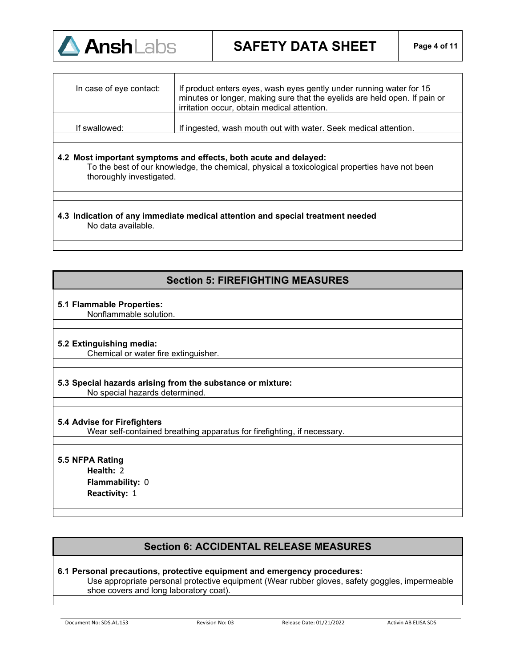

| In case of eye contact: | If product enters eyes, wash eyes gently under running water for 15<br>minutes or longer, making sure that the eyelids are held open. If pain or<br>irritation occur, obtain medical attention. |  |
|-------------------------|-------------------------------------------------------------------------------------------------------------------------------------------------------------------------------------------------|--|
| If swallowed:           | If ingested, wash mouth out with water. Seek medical attention.                                                                                                                                 |  |
|                         |                                                                                                                                                                                                 |  |

#### **4.2 Most important symptoms and effects, both acute and delayed:**

To the best of our knowledge, the chemical, physical a toxicological properties have not been thoroughly investigated.

**4.3 Indication of any immediate medical attention and special treatment needed**  No data available.

# **Section 5: FIREFIGHTING MEASURES**

#### **5.1 Flammable Properties:**

Nonflammable solution.

### **5.2 Extinguishing media:**

Chemical or water fire extinguisher.

### **5.3 Special hazards arising from the substance or mixture:**

No special hazards determined.

#### **5.4 Advise for Firefighters**

Wear self-contained breathing apparatus for firefighting, if necessary.

### **5.5 NFPA Rating**

**Health:** 2 **Flammability:** 0 **Reactivity:** 1

# **Section 6: ACCIDENTAL RELEASE MEASURES**

#### **6.1 Personal precautions, protective equipment and emergency procedures:**

Use appropriate personal protective equipment (Wear rubber gloves, safety goggles, impermeable shoe covers and long laboratory coat).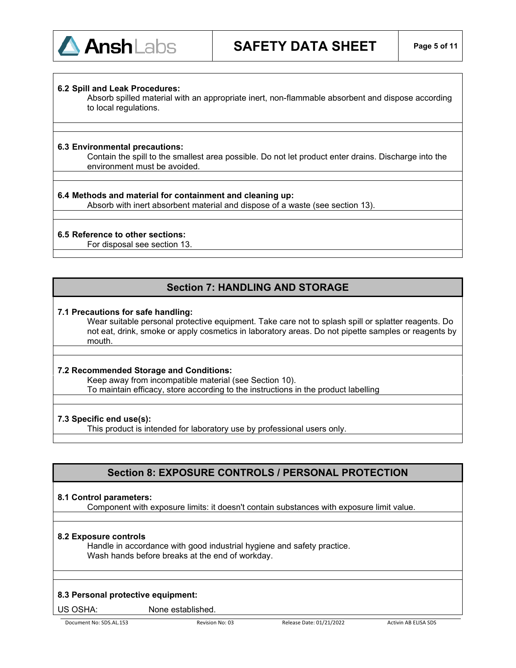

#### **6.2 Spill and Leak Procedures:**

Absorb spilled material with an appropriate inert, non-flammable absorbent and dispose according to local regulations.

#### **6.3 Environmental precautions:**

Contain the spill to the smallest area possible. Do not let product enter drains. Discharge into the environment must be avoided.

#### **6.4 Methods and material for containment and cleaning up:**

Absorb with inert absorbent material and dispose of a waste (see section 13).

#### **6.5 Reference to other sections:**

For disposal see section 13.

# **Section 7: HANDLING AND STORAGE**

#### **7.1 Precautions for safe handling:**

Wear suitable personal protective equipment. Take care not to splash spill or splatter reagents. Do not eat, drink, smoke or apply cosmetics in laboratory areas. Do not pipette samples or reagents by mouth.

#### **7.2 Recommended Storage and Conditions:**

Keep away from incompatible material (see Section 10). To maintain efficacy, store according to the instructions in the product labelling

#### **7.3 Specific end use(s):**

This product is intended for laboratory use by professional users only.

# **Section 8: EXPOSURE CONTROLS / PERSONAL PROTECTION**

#### **8.1 Control parameters:**

Component with exposure limits: it doesn't contain substances with exposure limit value.

#### **8.2 Exposure controls**

Handle in accordance with good industrial hygiene and safety practice. Wash hands before breaks at the end of workday.

#### **8.3 Personal protective equipment:**

US OSHA: None established.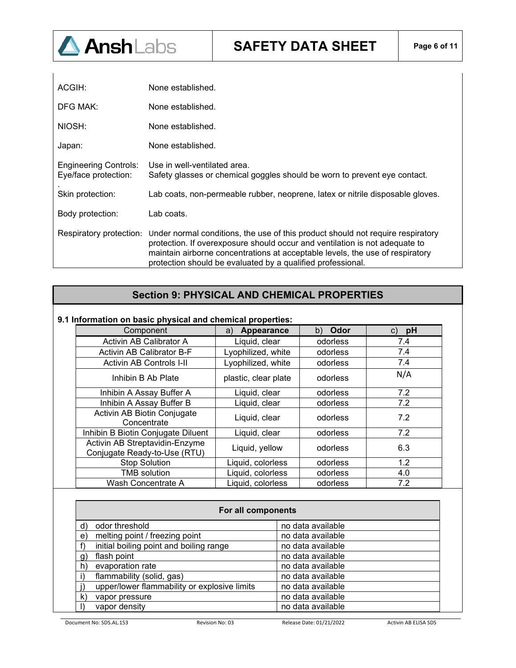

| ACGIH:                                               | None established.                                                                                                                                                                                                                                                                                              |
|------------------------------------------------------|----------------------------------------------------------------------------------------------------------------------------------------------------------------------------------------------------------------------------------------------------------------------------------------------------------------|
| DFG MAK:                                             | None established.                                                                                                                                                                                                                                                                                              |
| NIOSH:                                               | None established.                                                                                                                                                                                                                                                                                              |
| Japan:                                               | None established.                                                                                                                                                                                                                                                                                              |
| <b>Engineering Controls:</b><br>Eye/face protection: | Use in well-ventilated area.<br>Safety glasses or chemical goggles should be worn to prevent eye contact.                                                                                                                                                                                                      |
| Skin protection:                                     | Lab coats, non-permeable rubber, neoprene, latex or nitrile disposable gloves.                                                                                                                                                                                                                                 |
| Body protection:                                     | Lab coats.                                                                                                                                                                                                                                                                                                     |
| Respiratory protection:                              | Under normal conditions, the use of this product should not require respiratory<br>protection. If overexposure should occur and ventilation is not adequate to<br>maintain airborne concentrations at acceptable levels, the use of respiratory<br>protection should be evaluated by a qualified professional. |

# **Section 9: PHYSICAL AND CHEMICAL PROPERTIES**

#### **9.1 Information on basic physical and chemical properties:**

| Component                                                      | Appearance<br>a)     | Odor<br>b) | pH<br>C) |
|----------------------------------------------------------------|----------------------|------------|----------|
| <b>Activin AB Calibrator A</b>                                 | Liquid, clear        | odorless   | 7.4      |
| Activin AB Calibrator B-F                                      | Lyophilized, white   | odorless   | 7.4      |
| <b>Activin AB Controls I-II</b>                                | Lyophilized, white   | odorless   | 7.4      |
| Inhibin B Ab Plate                                             | plastic, clear plate | odorless   | N/A      |
| Inhibin A Assay Buffer A                                       | Liquid, clear        | odorless   | 7.2      |
| Inhibin A Assay Buffer B                                       | Liquid, clear        | odorless   | 7.2      |
| Activin AB Biotin Conjugate<br>Concentrate                     | Liquid, clear        | odorless   | 7.2      |
| Inhibin B Biotin Conjugate Diluent                             | Liquid, clear        | odorless   | 7.2      |
| Activin AB Streptavidin-Enzyme<br>Conjugate Ready-to-Use (RTU) | Liquid, yellow       | odorless   | 6.3      |
| <b>Stop Solution</b>                                           | Liquid, colorless    | odorless   | 1.2      |
| <b>TMB</b> solution                                            | Liquid, colorless    | odorless   | 4.0      |
| Wash Concentrate A                                             | Liquid, colorless    | odorless   | 7.2      |

| For all components |                                              |                   |  |  |
|--------------------|----------------------------------------------|-------------------|--|--|
| d)                 | odor threshold                               | no data available |  |  |
| $\mathbf{e}$       | melting point / freezing point               | no data available |  |  |
|                    | initial boiling point and boiling range      | no data available |  |  |
| $\mathsf{g}$       | flash point                                  | no data available |  |  |
| h)                 | evaporation rate                             | no data available |  |  |
|                    | flammability (solid, gas)                    | no data available |  |  |
|                    | upper/lower flammability or explosive limits | no data available |  |  |
| k)                 | vapor pressure                               | no data available |  |  |
|                    | vapor density                                | no data available |  |  |

Document No: SDS.AL.153 Revision No: 03 Release Date: 01/21/2022 Activin AB ELISA SDS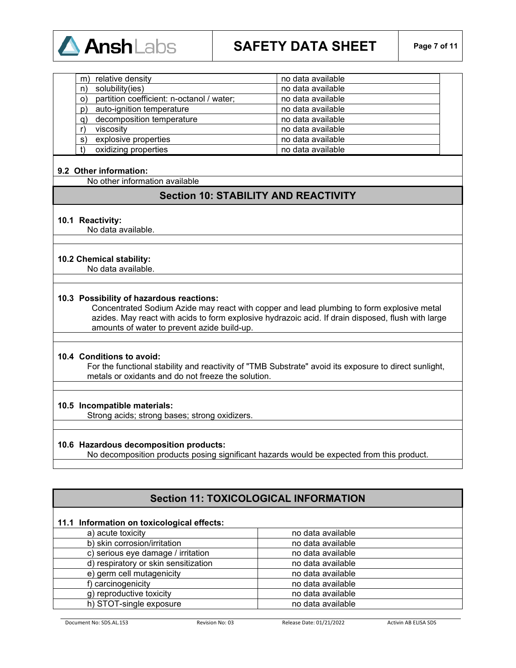

| m)      | relative density                          | no data available |
|---------|-------------------------------------------|-------------------|
| n)      | solubility(ies)                           | no data available |
| $\circ$ | partition coefficient: n-octanol / water; | no data available |
| p)      | auto-ignition temperature                 | no data available |
| a)      | decomposition temperature                 | no data available |
|         | viscosity                                 | no data available |
| s)      | explosive properties                      | no data available |
|         | oxidizing properties                      | no data available |

#### **9.2 Other information:**

No other information available

### **Section 10: STABILITY AND REACTIVITY**

#### **10.1 Reactivity:**

No data available.

#### **10.2 Chemical stability:**

No data available.

#### **10.3 Possibility of hazardous reactions:**

Concentrated Sodium Azide may react with copper and lead plumbing to form explosive metal azides. May react with acids to form explosive hydrazoic acid. If drain disposed, flush with large amounts of water to prevent azide build-up.

#### **10.4 Conditions to avoid:**

For the functional stability and reactivity of "TMB Substrate" avoid its exposure to direct sunlight, metals or oxidants and do not freeze the solution.

#### **10.5 Incompatible materials:**

Strong acids; strong bases; strong oxidizers.

#### **10.6 Hazardous decomposition products:**

No decomposition products posing significant hazards would be expected from this product.

# **Section 11: TOXICOLOGICAL INFORMATION**

#### **11.1 Information on toxicological effects:**

| a) acute toxicity                    | no data available |
|--------------------------------------|-------------------|
| b) skin corrosion/irritation         | no data available |
| c) serious eye damage / irritation   | no data available |
| d) respiratory or skin sensitization | no data available |
| e) germ cell mutagenicity            | no data available |
| f) carcinogenicity                   | no data available |
| g) reproductive toxicity             | no data available |
| h) STOT-single exposure              | no data available |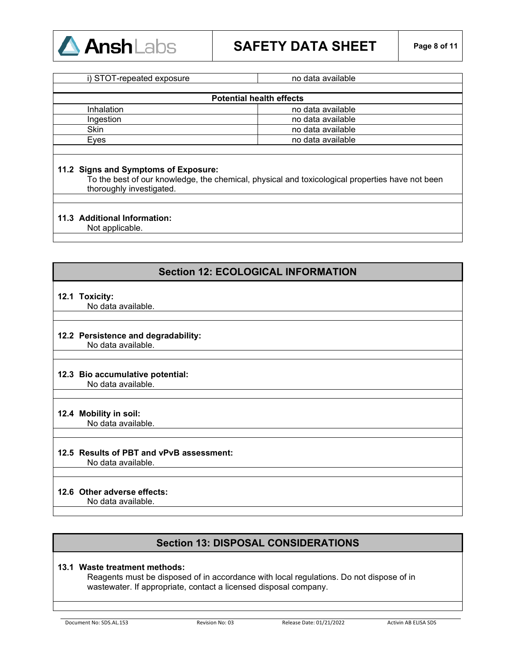

| i) STOT-repeated exposure       | no data available |  |
|---------------------------------|-------------------|--|
| <b>Potential health effects</b> |                   |  |
| Inhalation                      | no data available |  |
| Ingestion                       | no data available |  |
| Skin                            | no data available |  |
| Eves                            | no data available |  |

#### **11.2 Signs and Symptoms of Exposure:**

To the best of our knowledge, the chemical, physical and toxicological properties have not been thoroughly investigated.

#### **11.3 Additional Information:**

Not applicable.

## **Section 12: ECOLOGICAL INFORMATION**

#### **12.1 Toxicity:**

No data available.

# **12.2 Persistence and degradability:**

No data available.

# **12.3 Bio accumulative potential:**

No data available.

### **12.4 Mobility in soil:**

No data available.

### **12.5 Results of PBT and vPvB assessment:**

No data available.

### **12.6 Other adverse effects:**

No data available.

# **Section 13: DISPOSAL CONSIDERATIONS**

#### **13.1 Waste treatment methods:**

Reagents must be disposed of in accordance with local regulations. Do not dispose of in wastewater. If appropriate, contact a licensed disposal company.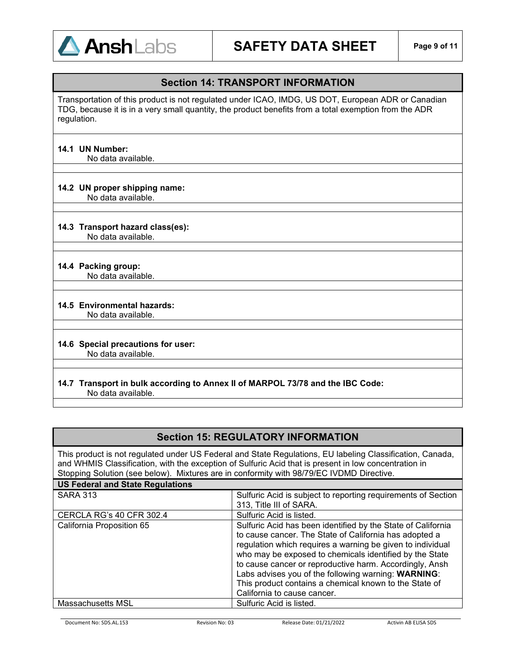

# **Section 14: TRANSPORT INFORMATION**

Transportation of this product is not regulated under ICAO, IMDG, US DOT, European ADR or Canadian TDG, because it is in a very small quantity, the product benefits from a total exemption from the ADR regulation.

#### **14.1 UN Number:**

No data available.

#### **14.2 UN proper shipping name:**

No data available.

#### **14.3 Transport hazard class(es):**

No data available.

#### **14.4 Packing group:**

No data available.

#### **14.5 Environmental hazards:**

No data available.

#### **14.6 Special precautions for user:** No data available.

#### **14.7 Transport in bulk according to Annex II of MARPOL 73/78 and the IBC Code:** No data available.

# **Section 15: REGULATORY INFORMATION**

This product is not regulated under US Federal and State Regulations, EU labeling Classification, Canada, and WHMIS Classification, with the exception of Sulfuric Acid that is present in low concentration in Stopping Solution (see below). Mixtures are in conformity with 98/79/EC IVDMD Directive.

#### **US Federal and State Regulations**

| <b>SARA 313</b>           | Sulfuric Acid is subject to reporting requirements of Section<br>313, Title III of SARA.                                                                                                                                                                                                                                                                                                                                                                   |
|---------------------------|------------------------------------------------------------------------------------------------------------------------------------------------------------------------------------------------------------------------------------------------------------------------------------------------------------------------------------------------------------------------------------------------------------------------------------------------------------|
| CERCLA RG's 40 CFR 302.4  | Sulfuric Acid is listed.                                                                                                                                                                                                                                                                                                                                                                                                                                   |
| California Proposition 65 | Sulfuric Acid has been identified by the State of California<br>to cause cancer. The State of California has adopted a<br>regulation which requires a warning be given to individual<br>who may be exposed to chemicals identified by the State<br>to cause cancer or reproductive harm. Accordingly, Ansh<br>Labs advises you of the following warning: WARNING:<br>This product contains a chemical known to the State of<br>California to cause cancer. |
| Massachusetts MSL         | Sulfuric Acid is listed.                                                                                                                                                                                                                                                                                                                                                                                                                                   |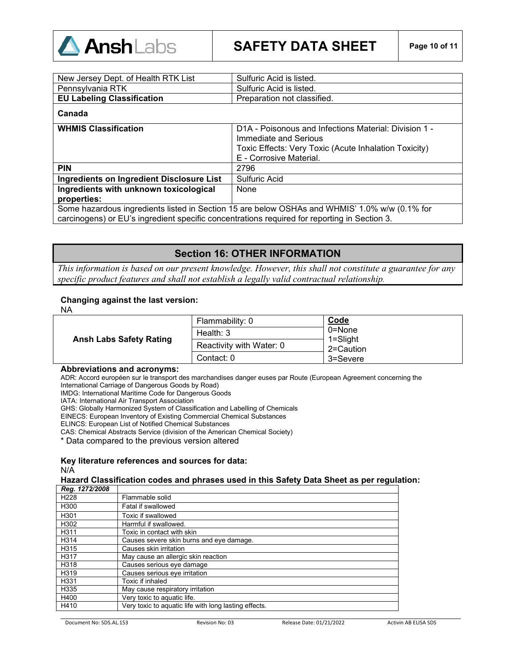

| New Jersey Dept. of Health RTK List                                                           | Sulfuric Acid is listed.                              |
|-----------------------------------------------------------------------------------------------|-------------------------------------------------------|
| Pennsylvania RTK                                                                              | Sulfuric Acid is listed.                              |
| <b>EU Labeling Classification</b>                                                             | Preparation not classified.                           |
| Canada                                                                                        |                                                       |
| <b>WHMIS Classification</b>                                                                   | D1A - Poisonous and Infections Material: Division 1 - |
|                                                                                               | Immediate and Serious                                 |
|                                                                                               | Toxic Effects: Very Toxic (Acute Inhalation Toxicity) |
|                                                                                               | E - Corrosive Material.                               |
| <b>PIN</b>                                                                                    | 2796                                                  |
| <b>Ingredients on Ingredient Disclosure List</b>                                              | Sulfuric Acid                                         |
| Ingredients with unknown toxicological                                                        | None                                                  |
| properties:                                                                                   |                                                       |
| Some hazardous ingredients listed in Section 15 are below OSHAs and WHMIS' 1.0% w/w (0.1% for |                                                       |
| carcinogens) or EU's ingredient specific concentrations required for reporting in Section 3.  |                                                       |

## **Section 16: OTHER INFORMATION**

*This information is based on our present knowledge. However, this shall not constitute a guarantee for any specific product features and shall not establish a legally valid contractual relationship*.

#### **Changing against the last version:**

NA

| <b>Ansh Labs Safety Rating</b> | Flammability: 0          | Code                      |
|--------------------------------|--------------------------|---------------------------|
|                                | Health: $3$              | $0 = None$                |
|                                | Reactivity with Water: 0 | $1 =$ Slight<br>2=Caution |
|                                | Contact: 0               | 3=Severe                  |

#### **Abbreviations and acronyms:**

ADR: Accord européen sur le transport des marchandises danger euses par Route (European Agreement concerning the International Carriage of Dangerous Goods by Road)

IMDG: International Maritime Code for Dangerous Goods

IATA: International Air Transport Association

GHS: Globally Harmonized System of Classification and Labelling of Chemicals

EINECS: European Inventory of Existing Commercial Chemical Substances

ELINCS: European List of Notified Chemical Substances

CAS: Chemical Abstracts Service (division of the American Chemical Society)

\* Data compared to the previous version altered

#### **Key literature references and sources for data:** N/A

### **Hazard Classification codes and phrases used in this Safety Data Sheet as per regulation:**

| Reg. 1272/2008   |                                                       |
|------------------|-------------------------------------------------------|
| H <sub>228</sub> | Flammable solid                                       |
| H300             | Fatal if swallowed                                    |
| H <sub>301</sub> | Toxic if swallowed                                    |
| H302             | Harmful if swallowed.                                 |
| H311             | Toxic in contact with skin                            |
| H314             | Causes severe skin burns and eye damage.              |
| H315             | Causes skin irritation                                |
| H317             | May cause an allergic skin reaction                   |
| H318             | Causes serious eye damage                             |
| H319             | Causes serious eye irritation                         |
| H331             | Toxic if inhaled                                      |
| H335             | May cause respiratory irritation                      |
| H400             | Very toxic to aquatic life.                           |
| H410             | Very toxic to aquatic life with long lasting effects. |